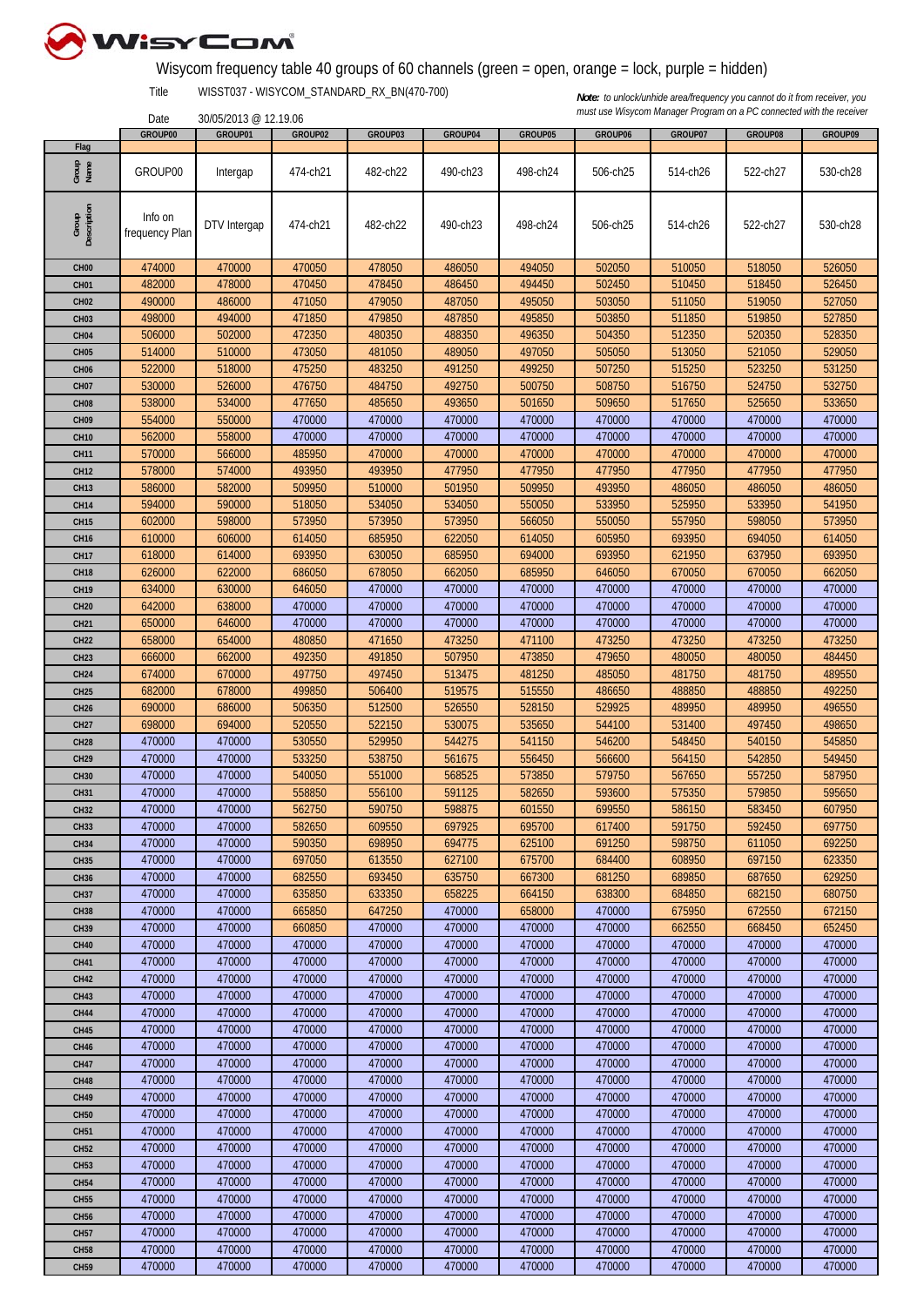

## Wisycom frequency table 40 groups of 60 channels (green = open, orange = lock, purple = hidden)

Title WISST037 - WISYCOM\_STANDARD\_RX\_BN(470-700)

30/05/2013 @ 12.19.06

|                      | GROUP00        | GROUP01      | GROUP02  | GROUP03  | GROUP04  | GROUP05  | GROUP06  | GROUP07  | GROUP08  | GROUP09  |
|----------------------|----------------|--------------|----------|----------|----------|----------|----------|----------|----------|----------|
| Flag                 |                |              |          |          |          |          |          |          |          |          |
| Group<br>Name        | GROUP00        | Intergap     | 474-ch21 | 482-ch22 | 490-ch23 | 498-ch24 | 506-ch25 | 514-ch26 | 522-ch27 | 530-ch28 |
|                      |                |              |          |          |          |          |          |          |          |          |
| Group<br>Description | Info on        |              |          |          |          |          |          |          |          |          |
|                      | frequency Plan | DTV Intergap | 474-ch21 | 482-ch22 | 490-ch23 | 498-ch24 | 506-ch25 | 514-ch26 | 522-ch27 | 530-ch28 |
|                      |                |              |          |          |          |          |          |          |          |          |
|                      |                |              |          |          |          |          |          |          |          |          |
| CH <sub>00</sub>     | 474000         | 470000       | 470050   | 478050   | 486050   | 494050   | 502050   | 510050   | 518050   | 526050   |
| CH <sub>01</sub>     | 482000         | 478000       | 470450   | 478450   | 486450   | 494450   | 502450   | 510450   | 518450   | 526450   |
| <b>CH02</b>          | 490000         | 486000       | 471050   | 479050   | 487050   | 495050   | 503050   | 511050   | 519050   | 527050   |
| CH <sub>03</sub>     | 498000         | 494000       | 471850   | 479850   | 487850   | 495850   | 503850   | 511850   | 519850   | 527850   |
| CH <sub>04</sub>     | 506000         | 502000       | 472350   | 480350   | 488350   | 496350   | 504350   | 512350   | 520350   | 528350   |
| CH <sub>05</sub>     | 514000         | 510000       | 473050   | 481050   | 489050   | 497050   | 505050   | 513050   | 521050   | 529050   |
| <b>CH06</b>          | 522000         | 518000       | 475250   | 483250   | 491250   | 499250   | 507250   | 515250   | 523250   | 531250   |
| CH <sub>07</sub>     | 530000         | 526000       | 476750   | 484750   | 492750   | 500750   | 508750   | 516750   | 524750   | 532750   |
| CH <sub>08</sub>     | 538000         | 534000       | 477650   | 485650   | 493650   | 501650   | 509650   | 517650   | 525650   | 533650   |
| CH <sub>09</sub>     | 554000         | 550000       | 470000   | 470000   | 470000   | 470000   | 470000   | 470000   | 470000   | 470000   |
| <b>CH10</b>          | 562000         | 558000       | 470000   | 470000   | 470000   | 470000   | 470000   | 470000   | 470000   | 470000   |
| <b>CH11</b>          | 570000         | 566000       | 485950   | 470000   | 470000   | 470000   | 470000   | 470000   | 470000   | 470000   |
| <b>CH12</b>          | 578000         | 574000       | 493950   | 493950   | 477950   | 477950   | 477950   | 477950   | 477950   | 477950   |
| <b>CH13</b>          | 586000         | 582000       | 509950   | 510000   | 501950   | 509950   | 493950   | 486050   | 486050   | 486050   |
| <b>CH14</b>          | 594000         | 590000       | 518050   | 534050   | 534050   | 550050   | 533950   | 525950   | 533950   | 541950   |
| <b>CH15</b>          | 602000         | 598000       | 573950   | 573950   | 573950   | 566050   | 550050   | 557950   | 598050   | 573950   |
|                      | 610000         | 606000       | 614050   | 685950   | 622050   | 614050   | 605950   | 693950   | 694050   | 614050   |
| <b>CH16</b>          |                |              | 693950   |          | 685950   | 694000   | 693950   |          |          | 693950   |
| <b>CH17</b>          | 618000         | 614000       |          | 630050   |          |          |          | 621950   | 637950   |          |
| <b>CH18</b>          | 626000         | 622000       | 686050   | 678050   | 662050   | 685950   | 646050   | 670050   | 670050   | 662050   |
| <b>CH19</b>          | 634000         | 630000       | 646050   | 470000   | 470000   | 470000   | 470000   | 470000   | 470000   | 470000   |
| <b>CH20</b>          | 642000         | 638000       | 470000   | 470000   | 470000   | 470000   | 470000   | 470000   | 470000   | 470000   |
| <b>CH21</b>          | 650000         | 646000       | 470000   | 470000   | 470000   | 470000   | 470000   | 470000   | 470000   | 470000   |
| <b>CH22</b>          | 658000         | 654000       | 480850   | 471650   | 473250   | 471100   | 473250   | 473250   | 473250   | 473250   |
| CH <sub>23</sub>     | 666000         | 662000       | 492350   | 491850   | 507950   | 473850   | 479650   | 480050   | 480050   | 484450   |
| CH <sub>24</sub>     | 674000         | 670000       | 497750   | 497450   | 513475   | 481250   | 485050   | 481750   | 481750   | 489550   |
| CH <sub>25</sub>     | 682000         | 678000       | 499850   | 506400   | 519575   | 515550   | 486650   | 488850   | 488850   | 492250   |
| <b>CH26</b>          | 690000         | 686000       | 506350   | 512500   | 526550   | 528150   | 529925   | 489950   | 489950   | 496550   |
| <b>CH27</b>          | 698000         | 694000       | 520550   | 522150   | 530075   | 535650   | 544100   | 531400   | 497450   | 498650   |
| <b>CH28</b>          | 470000         | 470000       | 530550   | 529950   | 544275   | 541150   | 546200   | 548450   | 540150   | 545850   |
| <b>CH29</b>          | 470000         | 470000       | 533250   | 538750   | 561675   | 556450   | 566600   | 564150   | 542850   | 549450   |
| <b>CH30</b>          | 470000         | 470000       | 540050   | 551000   | 568525   | 573850   | 579750   | 567650   | 557250   | 587950   |
| CH31                 | 470000         | 470000       | 558850   | 556100   | 591125   | 582650   | 593600   | 575350   | 579850   | 595650   |
| <b>CH32</b>          | 470000         | 470000       | 562750   | 590750   | 598875   | 601550   | 699550   | 586150   | 583450   | 607950   |
| CH <sub>3</sub> 3    | 470000         | 470000       | 582650   | 609550   | 697925   | 695700   | 617400   | 591750   | 592450   | 697750   |
| <b>CH34</b>          | 470000         | 470000       | 590350   | 698950   | 694775   | 625100   | 691250   | 598750   | 611050   | 692250   |
| <b>CH35</b>          | 470000         | 470000       | 697050   | 613550   | 627100   | 675700   | 684400   | 608950   | 697150   | 623350   |
|                      |                |              |          |          |          |          |          | 689850   |          |          |
| <b>CH36</b>          | 470000         | 470000       | 682550   | 693450   | 635750   | 667300   | 681250   |          | 687650   | 629250   |
| <b>CH37</b>          | 470000         | 470000       | 635850   | 633350   | 658225   | 664150   | 638300   | 684850   | 682150   | 680750   |
| <b>CH38</b>          | 470000         | 470000       | 665850   | 647250   | 470000   | 658000   | 470000   | 675950   | 672550   | 672150   |
| <b>CH39</b>          | 470000         | 470000       | 660850   | 470000   | 470000   | 470000   | 470000   | 662550   | 668450   | 652450   |
| <b>CH40</b>          | 470000         | 470000       | 470000   | 470000   | 470000   | 470000   | 470000   | 470000   | 470000   | 470000   |
| CH41                 | 470000         | 470000       | 470000   | 470000   | 470000   | 470000   | 470000   | 470000   | 470000   | 470000   |
| <b>CH42</b>          | 470000         | 470000       | 470000   | 470000   | 470000   | 470000   | 470000   | 470000   | 470000   | 470000   |
| <b>CH43</b>          | 470000         | 470000       | 470000   | 470000   | 470000   | 470000   | 470000   | 470000   | 470000   | 470000   |
| <b>CH44</b>          | 470000         | 470000       | 470000   | 470000   | 470000   | 470000   | 470000   | 470000   | 470000   | 470000   |
| <b>CH45</b>          | 470000         | 470000       | 470000   | 470000   | 470000   | 470000   | 470000   | 470000   | 470000   | 470000   |
| <b>CH46</b>          | 470000         | 470000       | 470000   | 470000   | 470000   | 470000   | 470000   | 470000   | 470000   | 470000   |
| <b>CH47</b>          | 470000         | 470000       | 470000   | 470000   | 470000   | 470000   | 470000   | 470000   | 470000   | 470000   |
| <b>CH48</b>          | 470000         | 470000       | 470000   | 470000   | 470000   | 470000   | 470000   | 470000   | 470000   | 470000   |
| <b>CH49</b>          | 470000         | 470000       | 470000   | 470000   | 470000   | 470000   | 470000   | 470000   | 470000   | 470000   |
| <b>CH50</b>          | 470000         | 470000       | 470000   | 470000   | 470000   | 470000   | 470000   | 470000   | 470000   | 470000   |
| <b>CH51</b>          | 470000         | 470000       | 470000   | 470000   | 470000   | 470000   | 470000   | 470000   | 470000   | 470000   |
| <b>CH52</b>          | 470000         | 470000       | 470000   | 470000   | 470000   | 470000   | 470000   | 470000   | 470000   | 470000   |
| <b>CH53</b>          | 470000         | 470000       | 470000   | 470000   | 470000   | 470000   | 470000   | 470000   | 470000   | 470000   |
| <b>CH54</b>          | 470000         | 470000       | 470000   | 470000   | 470000   | 470000   | 470000   | 470000   | 470000   | 470000   |
| <b>CH55</b>          | 470000         | 470000       | 470000   | 470000   | 470000   | 470000   | 470000   | 470000   | 470000   | 470000   |
|                      |                |              | 470000   | 470000   | 470000   | 470000   |          | 470000   |          | 470000   |
| <b>CH56</b>          | 470000         | 470000       |          |          |          |          | 470000   |          | 470000   |          |
| <b>CH57</b>          | 470000         | 470000       | 470000   | 470000   | 470000   | 470000   | 470000   | 470000   | 470000   | 470000   |
| <b>CH58</b>          | 470000         | 470000       | 470000   | 470000   | 470000   | 470000   | 470000   | 470000   | 470000   | 470000   |
| <b>CH59</b>          | 470000         | 470000       | 470000   | 470000   | 470000   | 470000   | 470000   | 470000   | 470000   | 470000   |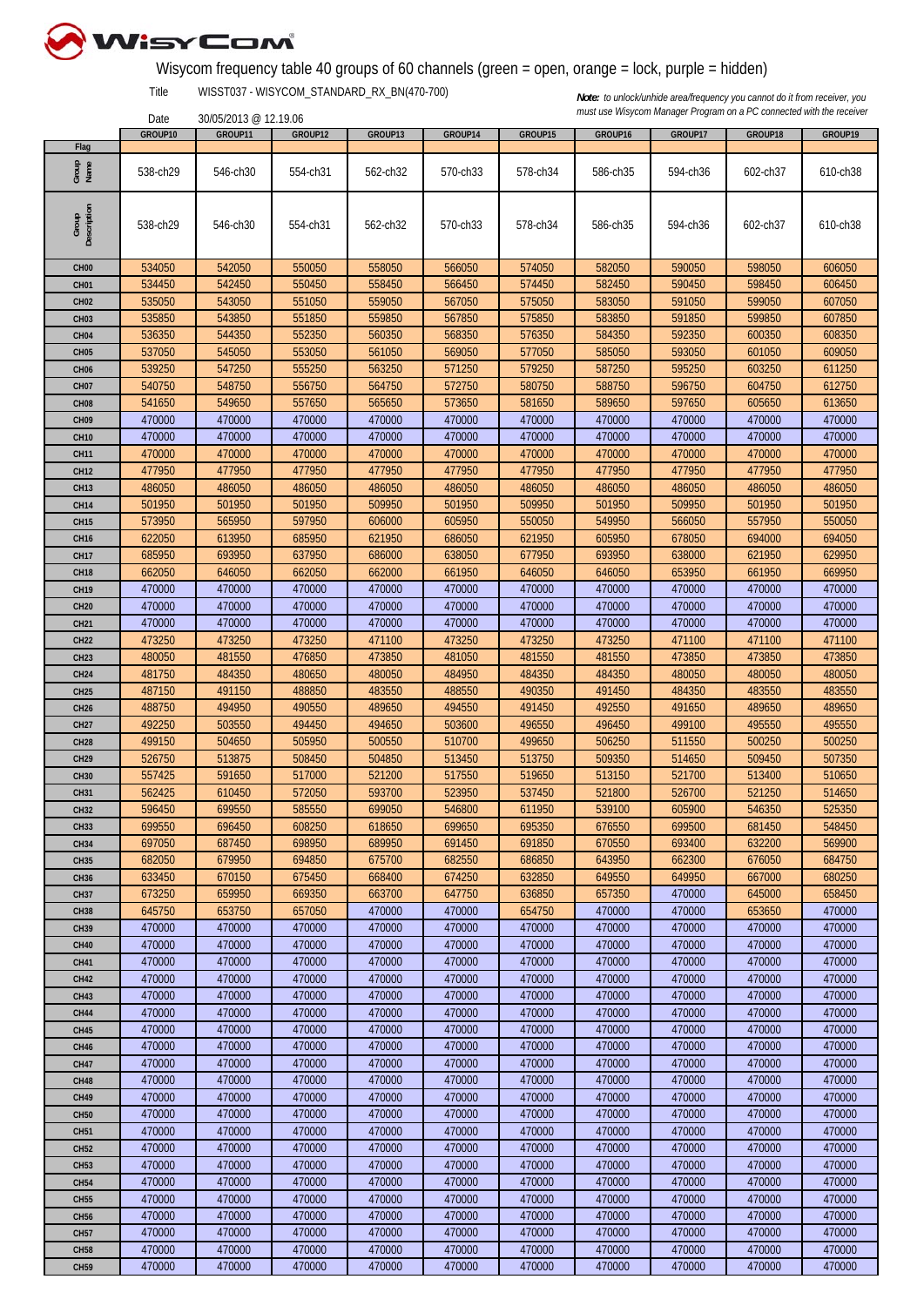

## Wisycom frequency table 40 groups of 60 channels (green = open, orange = lock, purple = hidden)

Title WISST037 - WISYCOM\_STANDARD\_RX\_BN(470-700)

30/05/2013 @ 12.19.06

|                      | GROUP10  | GROUP11  | GROUP12  | GROUP13  | GROUP14  | GROUP15  | GROUP16  | GROUP17  | GROUP18  | GROUP19  |
|----------------------|----------|----------|----------|----------|----------|----------|----------|----------|----------|----------|
| Flag                 |          |          |          |          |          |          |          |          |          |          |
| Group<br>Name        | 538-ch29 | 546-ch30 | 554-ch31 | 562-ch32 | 570-ch33 | 578-ch34 | 586-ch35 | 594-ch36 | 602-ch37 | 610-ch38 |
| Group<br>Description | 538-ch29 | 546-ch30 | 554-ch31 | 562-ch32 | 570-ch33 | 578-ch34 | 586-ch35 | 594-ch36 | 602-ch37 | 610-ch38 |
| CH <sub>00</sub>     | 534050   | 542050   | 550050   | 558050   | 566050   | 574050   | 582050   | 590050   | 598050   | 606050   |
| CH <sub>01</sub>     | 534450   | 542450   | 550450   | 558450   | 566450   | 574450   | 582450   | 590450   | 598450   | 606450   |
| CH <sub>02</sub>     | 535050   | 543050   | 551050   | 559050   | 567050   | 575050   | 583050   | 591050   | 599050   | 607050   |
| CH <sub>03</sub>     | 535850   | 543850   | 551850   | 559850   | 567850   | 575850   | 583850   | 591850   | 599850   | 607850   |
| CH <sub>04</sub>     | 536350   | 544350   | 552350   | 560350   | 568350   | 576350   | 584350   | 592350   | 600350   | 608350   |
|                      |          |          |          |          |          |          |          |          |          |          |
| CH <sub>05</sub>     | 537050   | 545050   | 553050   | 561050   | 569050   | 577050   | 585050   | 593050   | 601050   | 609050   |
| CH <sub>06</sub>     | 539250   | 547250   | 555250   | 563250   | 571250   | 579250   | 587250   | 595250   | 603250   | 611250   |
| <b>CH07</b>          | 540750   | 548750   | 556750   | 564750   | 572750   | 580750   | 588750   | 596750   | 604750   | 612750   |
| CH <sub>08</sub>     | 541650   | 549650   | 557650   | 565650   | 573650   | 581650   | 589650   | 597650   | 605650   | 613650   |
| CH <sub>09</sub>     | 470000   | 470000   | 470000   | 470000   | 470000   | 470000   | 470000   | 470000   | 470000   | 470000   |
| <b>CH10</b>          | 470000   | 470000   | 470000   | 470000   | 470000   | 470000   | 470000   | 470000   | 470000   | 470000   |
| CH <sub>11</sub>     | 470000   | 470000   | 470000   | 470000   | 470000   | 470000   | 470000   | 470000   | 470000   | 470000   |
| <b>CH12</b>          | 477950   | 477950   | 477950   | 477950   | 477950   | 477950   | 477950   | 477950   | 477950   | 477950   |
| <b>CH13</b>          | 486050   | 486050   | 486050   | 486050   | 486050   | 486050   | 486050   | 486050   | 486050   | 486050   |
| CH <sub>14</sub>     | 501950   | 501950   | 501950   | 509950   | 501950   | 509950   | 501950   | 509950   | 501950   | 501950   |
| <b>CH15</b>          | 573950   | 565950   | 597950   | 606000   | 605950   | 550050   | 549950   | 566050   | 557950   | 550050   |
| <b>CH16</b>          | 622050   | 613950   | 685950   | 621950   | 686050   | 621950   | 605950   | 678050   | 694000   | 694050   |
|                      |          |          |          |          |          |          |          |          |          |          |
| <b>CH17</b>          | 685950   | 693950   | 637950   | 686000   | 638050   | 677950   | 693950   | 638000   | 621950   | 629950   |
| <b>CH18</b>          | 662050   | 646050   | 662050   | 662000   | 661950   | 646050   | 646050   | 653950   | 661950   | 669950   |
| <b>CH19</b>          | 470000   | 470000   | 470000   | 470000   | 470000   | 470000   | 470000   | 470000   | 470000   | 470000   |
| <b>CH20</b>          | 470000   | 470000   | 470000   | 470000   | 470000   | 470000   | 470000   | 470000   | 470000   | 470000   |
| <b>CH21</b>          | 470000   | 470000   | 470000   | 470000   | 470000   | 470000   | 470000   | 470000   | 470000   | 470000   |
| <b>CH22</b>          | 473250   | 473250   | 473250   | 471100   | 473250   | 473250   | 473250   | 471100   | 471100   | 471100   |
| <b>CH23</b>          | 480050   | 481550   | 476850   | 473850   | 481050   | 481550   | 481550   | 473850   | 473850   | 473850   |
| <b>CH24</b>          | 481750   | 484350   | 480650   | 480050   | 484950   | 484350   | 484350   | 480050   | 480050   | 480050   |
| <b>CH25</b>          | 487150   | 491150   | 488850   | 483550   | 488550   | 490350   | 491450   | 484350   | 483550   | 483550   |
| <b>CH26</b>          | 488750   | 494950   | 490550   | 489650   | 494550   | 491450   | 492550   | 491650   | 489650   | 489650   |
| <b>CH27</b>          | 492250   | 503550   | 494450   | 494650   | 503600   | 496550   | 496450   | 499100   | 495550   | 495550   |
| <b>CH28</b>          | 499150   | 504650   | 505950   | 500550   | 510700   | 499650   | 506250   | 511550   | 500250   | 500250   |
| <b>CH29</b>          | 526750   | 513875   | 508450   | 504850   | 513450   | 513750   | 509350   | 514650   | 509450   | 507350   |
|                      | 557425   | 591650   | 517000   | 521200   | 517550   | 519650   | 513150   | 521700   | 513400   | 510650   |
| <b>CH30</b>          |          |          |          |          |          |          |          |          |          |          |
| <b>CH31</b>          | 562425   | 610450   | 572050   | 593700   | 523950   | 537450   | 521800   | 526700   | 521250   | 514650   |
| <b>CH32</b>          | 596450   | 699550   | 585550   | 699050   | 546800   | 611950   | 539100   | 605900   | 546350   | 525350   |
| <b>CH33</b>          | 699550   | 696450   | 608250   | 618650   | 699650   | 695350   | 676550   | 699500   | 681450   | 548450   |
| <b>CH34</b>          | 697050   | 687450   | 698950   | 689950   | 691450   | 691850   | 670550   | 693400   | 632200   | 569900   |
| <b>CH35</b>          | 682050   | 679950   | 694850   | 675700   | 682550   | 686850   | 643950   | 662300   | 676050   | 684750   |
| <b>CH36</b>          | 633450   | 670150   | 675450   | 668400   | 674250   | 632850   | 649550   | 649950   | 667000   | 680250   |
| <b>CH37</b>          | 673250   | 659950   | 669350   | 663700   | 647750   | 636850   | 657350   | 470000   | 645000   | 658450   |
| <b>CH38</b>          | 645750   | 653750   | 657050   | 470000   | 470000   | 654750   | 470000   | 470000   | 653650   | 470000   |
| <b>CH39</b>          | 470000   | 470000   | 470000   | 470000   | 470000   | 470000   | 470000   | 470000   | 470000   | 470000   |
| <b>CH40</b>          | 470000   | 470000   | 470000   | 470000   | 470000   | 470000   | 470000   | 470000   | 470000   | 470000   |
| <b>CH41</b>          | 470000   | 470000   | 470000   | 470000   | 470000   | 470000   | 470000   | 470000   | 470000   | 470000   |
| <b>CH42</b>          | 470000   | 470000   | 470000   | 470000   | 470000   | 470000   | 470000   | 470000   | 470000   | 470000   |
| <b>CH43</b>          | 470000   | 470000   | 470000   | 470000   | 470000   | 470000   | 470000   | 470000   | 470000   | 470000   |
| <b>CH44</b>          | 470000   | 470000   | 470000   | 470000   | 470000   | 470000   | 470000   | 470000   | 470000   | 470000   |
|                      |          |          |          |          |          |          |          |          |          |          |
| <b>CH45</b>          | 470000   | 470000   | 470000   | 470000   | 470000   | 470000   | 470000   | 470000   | 470000   | 470000   |
| <b>CH46</b>          | 470000   | 470000   | 470000   | 470000   | 470000   | 470000   | 470000   | 470000   | 470000   | 470000   |
| <b>CH47</b>          | 470000   | 470000   | 470000   | 470000   | 470000   | 470000   | 470000   | 470000   | 470000   | 470000   |
| <b>CH48</b>          | 470000   | 470000   | 470000   | 470000   | 470000   | 470000   | 470000   | 470000   | 470000   | 470000   |
| <b>CH49</b>          | 470000   | 470000   | 470000   | 470000   | 470000   | 470000   | 470000   | 470000   | 470000   | 470000   |
| <b>CH50</b>          | 470000   | 470000   | 470000   | 470000   | 470000   | 470000   | 470000   | 470000   | 470000   | 470000   |
| <b>CH51</b>          | 470000   | 470000   | 470000   | 470000   | 470000   | 470000   | 470000   | 470000   | 470000   | 470000   |
| <b>CH52</b>          | 470000   | 470000   | 470000   | 470000   | 470000   | 470000   | 470000   | 470000   | 470000   | 470000   |
| <b>CH53</b>          | 470000   | 470000   | 470000   | 470000   | 470000   | 470000   | 470000   | 470000   | 470000   | 470000   |
| <b>CH54</b>          | 470000   | 470000   | 470000   | 470000   | 470000   | 470000   | 470000   | 470000   | 470000   | 470000   |
| <b>CH55</b>          | 470000   | 470000   | 470000   | 470000   | 470000   | 470000   | 470000   | 470000   | 470000   | 470000   |
| <b>CH56</b>          | 470000   | 470000   | 470000   | 470000   | 470000   | 470000   | 470000   | 470000   | 470000   | 470000   |
| <b>CH57</b>          | 470000   | 470000   | 470000   | 470000   | 470000   | 470000   | 470000   | 470000   | 470000   | 470000   |
|                      |          |          |          |          |          |          |          |          |          |          |
| <b>CH58</b>          | 470000   | 470000   | 470000   | 470000   | 470000   | 470000   | 470000   | 470000   | 470000   | 470000   |
| <b>CH59</b>          | 470000   | 470000   | 470000   | 470000   | 470000   | 470000   | 470000   | 470000   | 470000   | 470000   |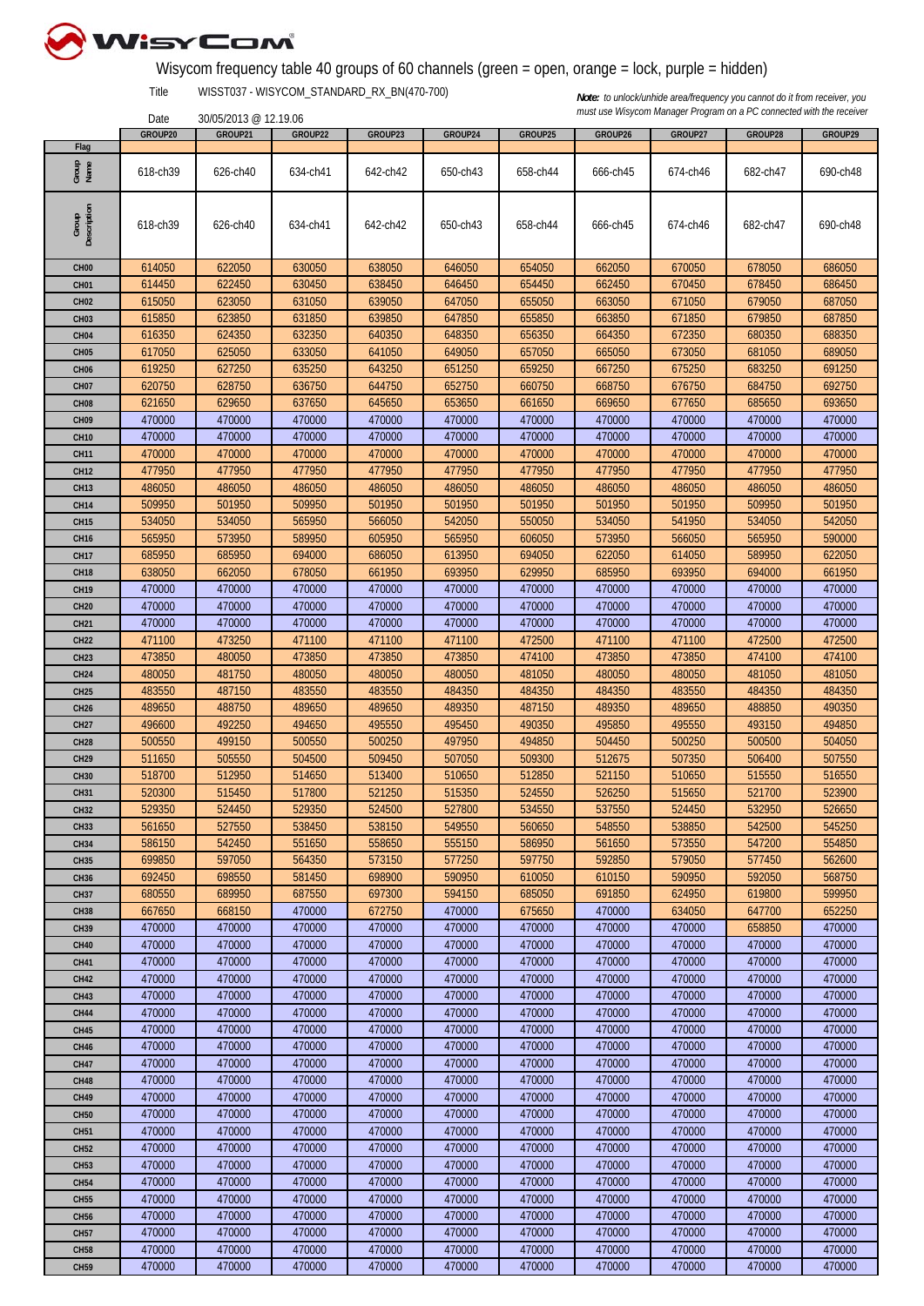

## Wisycom frequency table 40 groups of 60 channels (green = open, orange = lock, purple = hidden)

Title WISST037 - WISYCOM\_STANDARD\_RX\_BN(470-700)

30/05/2013 @ 12.19.06

|                      | GROUP20  | GROUP21  | GROUP22  | GROUP23  | GROUP24  | GROUP25  | GROUP26  | GROUP27  | GROUP28  | GROUP29  |
|----------------------|----------|----------|----------|----------|----------|----------|----------|----------|----------|----------|
| Flag                 |          |          |          |          |          |          |          |          |          |          |
| Group<br>Name        | 618-ch39 | 626-ch40 | 634-ch41 | 642-ch42 | 650-ch43 | 658-ch44 | 666-ch45 | 674-ch46 | 682-ch47 | 690-ch48 |
|                      |          |          |          |          |          |          |          |          |          |          |
|                      |          |          |          |          |          |          |          |          |          |          |
| Group<br>Description |          |          |          |          |          |          |          |          |          |          |
|                      | 618-ch39 | 626-ch40 | 634-ch41 | 642-ch42 | 650-ch43 | 658-ch44 | 666-ch45 | 674-ch46 | 682-ch47 | 690-ch48 |
|                      |          |          |          |          |          |          |          |          |          |          |
|                      |          |          |          |          |          |          |          |          |          |          |
| CH <sub>00</sub>     | 614050   | 622050   | 630050   | 638050   | 646050   | 654050   | 662050   | 670050   | 678050   | 686050   |
| CH <sub>01</sub>     | 614450   | 622450   | 630450   | 638450   | 646450   | 654450   | 662450   | 670450   | 678450   | 686450   |
| <b>CH02</b>          | 615050   | 623050   | 631050   | 639050   | 647050   | 655050   | 663050   | 671050   | 679050   | 687050   |
| CH <sub>03</sub>     | 615850   | 623850   | 631850   | 639850   | 647850   | 655850   | 663850   | 671850   | 679850   | 687850   |
| CH <sub>04</sub>     | 616350   | 624350   | 632350   | 640350   | 648350   | 656350   | 664350   | 672350   | 680350   | 688350   |
| CH <sub>05</sub>     | 617050   | 625050   | 633050   | 641050   | 649050   | 657050   | 665050   | 673050   | 681050   | 689050   |
| CH <sub>06</sub>     | 619250   | 627250   | 635250   | 643250   | 651250   | 659250   | 667250   | 675250   | 683250   | 691250   |
| CH <sub>07</sub>     | 620750   | 628750   | 636750   | 644750   | 652750   | 660750   | 668750   | 676750   | 684750   | 692750   |
| CH <sub>08</sub>     | 621650   | 629650   | 637650   | 645650   | 653650   | 661650   | 669650   | 677650   | 685650   | 693650   |
| CH <sub>09</sub>     | 470000   | 470000   | 470000   | 470000   | 470000   | 470000   | 470000   | 470000   | 470000   | 470000   |
|                      | 470000   | 470000   | 470000   | 470000   | 470000   | 470000   |          | 470000   | 470000   | 470000   |
| <b>CH10</b>          |          |          |          |          |          |          | 470000   |          |          |          |
| <b>CH11</b>          | 470000   | 470000   | 470000   | 470000   | 470000   | 470000   | 470000   | 470000   | 470000   | 470000   |
| <b>CH12</b>          | 477950   | 477950   | 477950   | 477950   | 477950   | 477950   | 477950   | 477950   | 477950   | 477950   |
| <b>CH13</b>          | 486050   | 486050   | 486050   | 486050   | 486050   | 486050   | 486050   | 486050   | 486050   | 486050   |
| <b>CH14</b>          | 509950   | 501950   | 509950   | 501950   | 501950   | 501950   | 501950   | 501950   | 509950   | 501950   |
| <b>CH15</b>          | 534050   | 534050   | 565950   | 566050   | 542050   | 550050   | 534050   | 541950   | 534050   | 542050   |
| <b>CH16</b>          | 565950   | 573950   | 589950   | 605950   | 565950   | 606050   | 573950   | 566050   | 565950   | 590000   |
| <b>CH17</b>          | 685950   | 685950   | 694000   | 686050   | 613950   | 694050   | 622050   | 614050   | 589950   | 622050   |
| <b>CH18</b>          | 638050   | 662050   | 678050   | 661950   | 693950   | 629950   | 685950   | 693950   | 694000   | 661950   |
| <b>CH19</b>          | 470000   | 470000   | 470000   | 470000   | 470000   | 470000   | 470000   | 470000   | 470000   | 470000   |
| <b>CH20</b>          | 470000   | 470000   | 470000   | 470000   | 470000   | 470000   | 470000   | 470000   | 470000   | 470000   |
|                      | 470000   | 470000   | 470000   | 470000   | 470000   | 470000   | 470000   | 470000   | 470000   | 470000   |
| <b>CH21</b>          |          |          |          |          |          |          |          |          |          |          |
| <b>CH22</b>          | 471100   | 473250   | 471100   | 471100   | 471100   | 472500   | 471100   | 471100   | 472500   | 472500   |
| <b>CH23</b>          | 473850   | 480050   | 473850   | 473850   | 473850   | 474100   | 473850   | 473850   | 474100   | 474100   |
| <b>CH24</b>          | 480050   | 481750   | 480050   | 480050   | 480050   | 481050   | 480050   | 480050   | 481050   | 481050   |
| CH <sub>25</sub>     | 483550   | 487150   | 483550   | 483550   | 484350   | 484350   | 484350   | 483550   | 484350   | 484350   |
| <b>CH26</b>          | 489650   | 488750   | 489650   | 489650   | 489350   | 487150   | 489350   | 489650   | 488850   | 490350   |
| <b>CH27</b>          | 496600   | 492250   | 494650   | 495550   | 495450   | 490350   | 495850   | 495550   | 493150   | 494850   |
| <b>CH28</b>          | 500550   | 499150   | 500550   | 500250   | 497950   | 494850   | 504450   | 500250   | 500500   | 504050   |
| <b>CH29</b>          | 511650   | 505550   | 504500   | 509450   | 507050   | 509300   | 512675   | 507350   | 506400   | 507550   |
| <b>CH30</b>          | 518700   | 512950   | 514650   | 513400   | 510650   | 512850   | 521150   | 510650   | 515550   | 516550   |
| <b>CH31</b>          | 520300   | 515450   | 517800   | 521250   | 515350   | 524550   | 526250   | 515650   | 521700   | 523900   |
| <b>CH32</b>          | 529350   | 524450   | 529350   | 524500   | 527800   | 534550   | 537550   | 524450   | 532950   | 526650   |
| <b>CH33</b>          | 561650   | 527550   | 538450   | 538150   | 549550   | 560650   | 548550   | 538850   | 542500   | 545250   |
| <b>CH34</b>          | 586150   | 542450   | 551650   | 558650   | 555150   | 586950   | 561650   | 573550   | 547200   | 554850   |
|                      |          |          |          |          |          |          |          |          |          |          |
| <b>CH35</b>          | 699850   | 597050   | 564350   | 573150   | 577250   | 597750   | 592850   | 579050   | 577450   | 562600   |
| <b>CH36</b>          | 692450   | 698550   | 581450   | 698900   | 590950   | 610050   | 610150   | 590950   | 592050   | 568750   |
| <b>CH37</b>          | 680550   | 689950   | 687550   | 697300   | 594150   | 685050   | 691850   | 624950   | 619800   | 599950   |
| <b>CH38</b>          | 667650   | 668150   | 470000   | 672750   | 470000   | 675650   | 470000   | 634050   | 647700   | 652250   |
| <b>CH39</b>          | 470000   | 470000   | 470000   | 470000   | 470000   | 470000   | 470000   | 470000   | 658850   | 470000   |
| <b>CH40</b>          | 470000   | 470000   | 470000   | 470000   | 470000   | 470000   | 470000   | 470000   | 470000   | 470000   |
| <b>CH41</b>          | 470000   | 470000   | 470000   | 470000   | 470000   | 470000   | 470000   | 470000   | 470000   | 470000   |
| <b>CH42</b>          | 470000   | 470000   | 470000   | 470000   | 470000   | 470000   | 470000   | 470000   | 470000   | 470000   |
| <b>CH43</b>          | 470000   | 470000   | 470000   | 470000   | 470000   | 470000   | 470000   | 470000   | 470000   | 470000   |
| <b>CH44</b>          | 470000   | 470000   | 470000   | 470000   | 470000   | 470000   | 470000   | 470000   | 470000   | 470000   |
| <b>CH45</b>          | 470000   | 470000   | 470000   | 470000   | 470000   | 470000   | 470000   | 470000   | 470000   | 470000   |
| <b>CH46</b>          | 470000   | 470000   | 470000   | 470000   | 470000   | 470000   | 470000   | 470000   | 470000   | 470000   |
|                      |          |          |          |          |          |          |          |          |          |          |
| <b>CH47</b>          | 470000   | 470000   | 470000   | 470000   | 470000   | 470000   | 470000   | 470000   | 470000   | 470000   |
| <b>CH48</b>          | 470000   | 470000   | 470000   | 470000   | 470000   | 470000   | 470000   | 470000   | 470000   | 470000   |
| <b>CH49</b>          | 470000   | 470000   | 470000   | 470000   | 470000   | 470000   | 470000   | 470000   | 470000   | 470000   |
| <b>CH50</b>          | 470000   | 470000   | 470000   | 470000   | 470000   | 470000   | 470000   | 470000   | 470000   | 470000   |
| CH <sub>51</sub>     | 470000   | 470000   | 470000   | 470000   | 470000   | 470000   | 470000   | 470000   | 470000   | 470000   |
| <b>CH52</b>          | 470000   | 470000   | 470000   | 470000   | 470000   | 470000   | 470000   | 470000   | 470000   | 470000   |
| <b>CH53</b>          | 470000   | 470000   | 470000   | 470000   | 470000   | 470000   | 470000   | 470000   | 470000   | 470000   |
| <b>CH54</b>          | 470000   | 470000   | 470000   | 470000   | 470000   | 470000   | 470000   | 470000   | 470000   | 470000   |
| <b>CH55</b>          | 470000   | 470000   | 470000   | 470000   | 470000   | 470000   | 470000   | 470000   | 470000   | 470000   |
| <b>CH56</b>          | 470000   | 470000   | 470000   | 470000   | 470000   | 470000   | 470000   | 470000   | 470000   | 470000   |
| <b>CH57</b>          | 470000   | 470000   | 470000   | 470000   | 470000   | 470000   | 470000   | 470000   | 470000   | 470000   |
| <b>CH58</b>          | 470000   | 470000   | 470000   | 470000   | 470000   | 470000   | 470000   | 470000   | 470000   | 470000   |
|                      | 470000   | 470000   | 470000   | 470000   | 470000   | 470000   | 470000   | 470000   | 470000   | 470000   |
| <b>CH59</b>          |          |          |          |          |          |          |          |          |          |          |